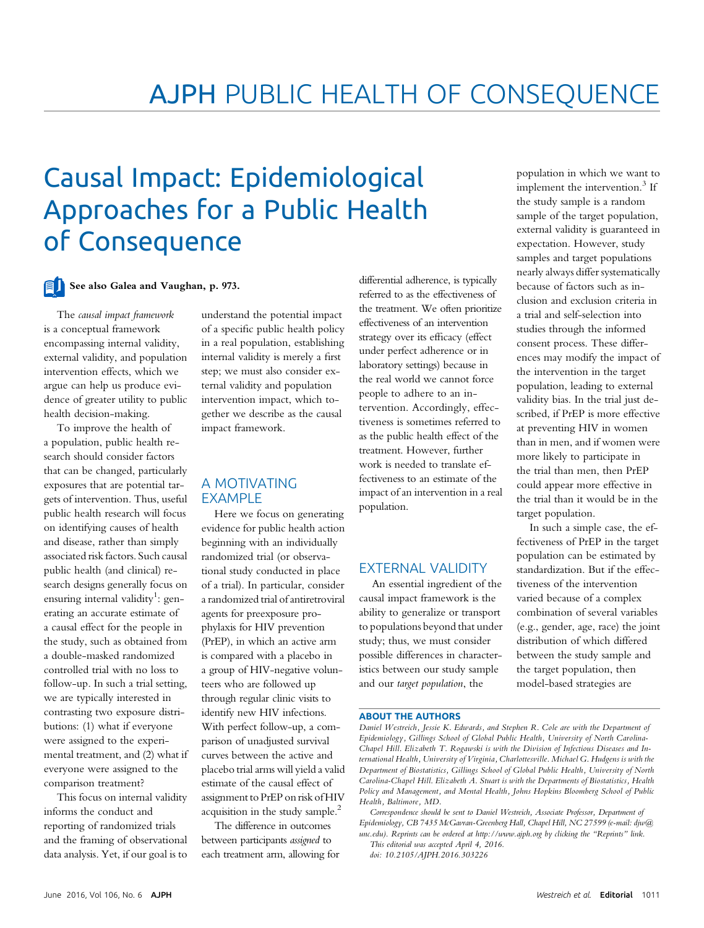# Causal Impact: Epidemiological Approaches for a Public Health of Consequence

## See also Galea and Vaughan, p. 973.

The causal impact framework is a conceptual framework encompassing internal validity, external validity, and population intervention effects, which we argue can help us produce evidence of greater utility to public health decision-making.

To improve the health of a population, public health research should consider factors that can be changed, particularly exposures that are potential targets of intervention. Thus, useful public health research will focus on identifying causes of health and disease, rather than simply associated risk factors. Such causal public health (and clinical) research designs generally focus on ensuring internal validity<sup>1</sup>: generating an accurate estimate of a causal effect for the people in the study, such as obtained from a double-masked randomized controlled trial with no loss to follow-up. In such a trial setting, we are typically interested in contrasting two exposure distributions: (1) what if everyone were assigned to the experimental treatment, and (2) what if everyone were assigned to the comparison treatment?

This focus on internal validity informs the conduct and reporting of randomized trials and the framing of observational data analysis. Yet, if our goal is to

understand the potential impact of a specific public health policy in a real population, establishing internal validity is merely a first step; we must also consider external validity and population intervention impact, which together we describe as the causal impact framework.

## A MOTIVATING EXAMPLE

Here we focus on generating evidence for public health action beginning with an individually randomized trial (or observational study conducted in place of a trial). In particular, consider a randomized trial of antiretroviral agents for preexposure prophylaxis for HIV prevention (PrEP), in which an active arm is compared with a placebo in a group of HIV-negative volunteers who are followed up through regular clinic visits to identify new HIV infections. With perfect follow-up, a comparison of unadjusted survival curves between the active and placebo trial arms will yield a valid estimate of the causal effect of assignment to PrEP on risk of HIV acquisition in the study sample.<sup>2</sup>

The difference in outcomes between participants assigned to each treatment arm, allowing for

differential adherence, is typically referred to as the effectiveness of the treatment. We often prioritize effectiveness of an intervention strategy over its efficacy (effect under perfect adherence or in laboratory settings) because in the real world we cannot force people to adhere to an intervention. Accordingly, effectiveness is sometimes referred to as the public health effect of the treatment. However, further work is needed to translate effectiveness to an estimate of the impact of an intervention in a real population.

## EXTERNAL VALIDITY

An essential ingredient of the causal impact framework is the ability to generalize or transport to populations beyond that under study; thus, we must consider possible differences in characteristics between our study sample and our target population, the

population in which we want to implement the intervention.<sup>3</sup> If the study sample is a random sample of the target population, external validity is guaranteed in expectation. However, study samples and target populations nearly always differ systematically because of factors such as inclusion and exclusion criteria in a trial and self-selection into studies through the informed consent process. These differences may modify the impact of the intervention in the target population, leading to external validity bias. In the trial just described, if PrEP is more effective at preventing HIV in women than in men, and if women were more likely to participate in the trial than men, then PrEP could appear more effective in the trial than it would be in the target population.

In such a simple case, the effectiveness of PrEP in the target population can be estimated by standardization. But if the effectiveness of the intervention varied because of a complex combination of several variables (e.g., gender, age, race) the joint distribution of which differed between the study sample and the target population, then model-based strategies are

#### ABOUT THE AUTHORS

Daniel Westreich, Jessie K. Edwards, and Stephen R. Cole are with the Department of Epidemiology, Gillings School of Global Public Health, University of North Carolina-Chapel Hill. Elizabeth T. Rogawski is with the Division of Infectious Diseases and International Health, University of Virginia, Charlottesville. Michael G. Hudgens is with the Department of Biostatistics, Gillings School of Global Public Health, University of North Carolina-Chapel Hill. Elizabeth A. Stuart is with the Departments of Biostatistics, Health Policy and Management, and Mental Health, Johns Hopkins Bloomberg School of Public Health, Baltimore, MD.

Correspondence should be sent to Daniel Westreich, Associate Professor, Department of Epidemiology, CB 7435 McGavran-Greenberg Hall, Chapel Hill, NC 27599 (e-mail: [djw@](mailto:djw@unc.edu) [unc.edu\)](mailto:djw@unc.edu). Reprints can be ordered at<http://www.ajph.org> by clicking the "Reprints" link. This editorial was accepted April 4, 2016.

doi: 10.2105/AJPH.2016.303226